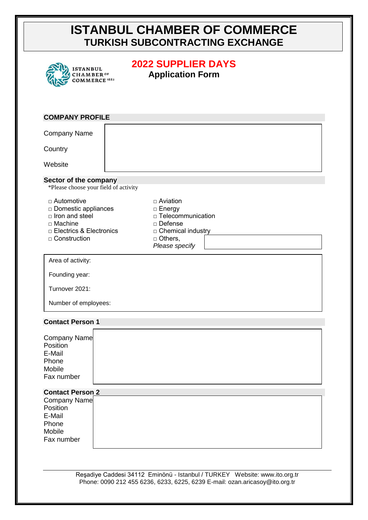# **ISTANBUL CHAMBER OF COMMERCE TURKISH SUBCONTRACTING EXCHANGE**

| <b>ISTANBUL</b><br><b>HAMBER</b> OF<br>COMMERCE <sup>1882</sup>                                                            | <b>2022 SUPPLIER DAYS</b><br><b>Application Form</b>                                                                            |  |  |
|----------------------------------------------------------------------------------------------------------------------------|---------------------------------------------------------------------------------------------------------------------------------|--|--|
| <b>COMPANY PROFILE</b>                                                                                                     |                                                                                                                                 |  |  |
| <b>Company Name</b>                                                                                                        |                                                                                                                                 |  |  |
| Country                                                                                                                    |                                                                                                                                 |  |  |
| Website                                                                                                                    |                                                                                                                                 |  |  |
| Sector of the company<br>*Please choose your field of activity                                                             |                                                                                                                                 |  |  |
| □ Automotive<br>□ Domestic appliances<br>$\Box$ Iron and steel<br>□ Machine<br>□ Electrics & Electronics<br>□ Construction | □ Aviation<br>$\Box$ Energy<br>$\Box$ Telecommunication<br>□ Defense<br>□ Chemical industry<br>$\Box$ Others,<br>Please specify |  |  |
| Area of activity:                                                                                                          |                                                                                                                                 |  |  |
| Founding year:                                                                                                             |                                                                                                                                 |  |  |
| Turnover 2021:                                                                                                             |                                                                                                                                 |  |  |
| Number of employees:                                                                                                       |                                                                                                                                 |  |  |
| <b>Contact Person 1</b>                                                                                                    |                                                                                                                                 |  |  |
| Company Name<br>Position<br>E-Mail<br>Phone<br>Mobile<br>Fax number                                                        |                                                                                                                                 |  |  |
| <b>Contact Person 2</b>                                                                                                    |                                                                                                                                 |  |  |
| Company Name<br>Position<br>E-Mail<br>Phone<br>Mobile                                                                      |                                                                                                                                 |  |  |
| Fax number                                                                                                                 |                                                                                                                                 |  |  |

Reşadiye Caddesi 34112 Eminönü - Istanbul / TURKEY Website: www.ito.org.tr Phone: 0090 212 455 6236, 6233, 6225, 6239 E-mail: ozan.aricasoy@ito.org.tr